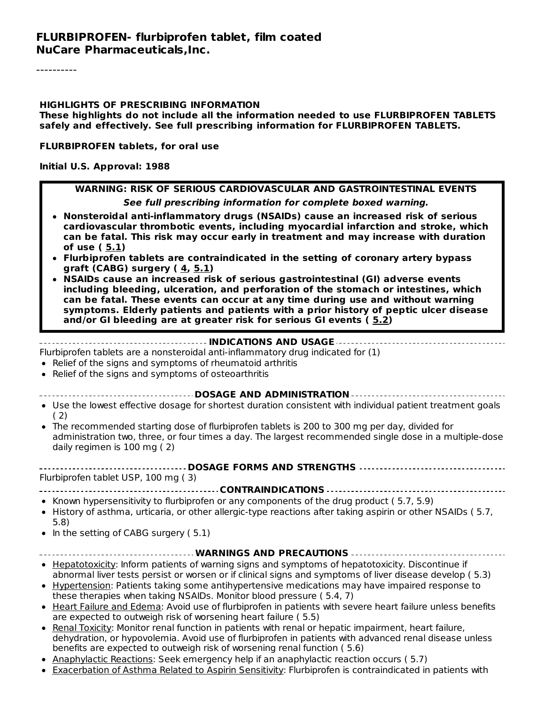### **FLURBIPROFEN- flurbiprofen tablet, film coated NuCare Pharmaceuticals,Inc.**

#### **HIGHLIGHTS OF PRESCRIBING INFORMATION**

**These highlights do not include all the information needed to use FLURBIPROFEN TABLETS safely and effectively. See full prescribing information for FLURBIPROFEN TABLETS.**

#### **FLURBIPROFEN tablets, for oral use**

#### **Initial U.S. Approval: 1988**

#### **WARNING: RISK OF SERIOUS CARDIOVASCULAR AND GASTROINTESTINAL EVENTS**

**See full prescribing information for complete boxed warning.**

- **Nonsteroidal anti-inflammatory drugs (NSAIDs) cause an increased risk of serious cardiovascular thrombotic events, including myocardial infarction and stroke, which can be fatal. This risk may occur early in treatment and may increase with duration of use ( 5.1)**
- **Flurbiprofen tablets are contraindicated in the setting of coronary artery bypass graft (CABG) surgery ( 4, 5.1)**
- **NSAIDs cause an increased risk of serious gastrointestinal (GI) adverse events including bleeding, ulceration, and perforation of the stomach or intestines, which can be fatal. These events can occur at any time during use and without warning symptoms. Elderly patients and patients with a prior history of peptic ulcer disease and/or GI bleeding are at greater risk for serious GI events ( 5.2)**

#### **INDICATIONS AND USAGE**

Flurbiprofen tablets are a nonsteroidal anti-inflammatory drug indicated for (1)

- Relief of the signs and symptoms of rheumatoid arthritis
- Relief of the signs and symptoms of osteoarthritis
- **DOSAGE AND ADMINISTRATION**
- Use the lowest effective dosage for shortest duration consistent with individual patient treatment goals  $(2)$
- The recommended starting dose of flurbiprofen tablets is 200 to 300 mg per day, divided for administration two, three, or four times a day. The largest recommended single dose in a multiple-dose daily regimen is 100 mg ( 2)

| ------------------------------------ DOSAGE FORMS AND STRENGTHS ----------------------------------- |  |
|-----------------------------------------------------------------------------------------------------|--|
| Flurbiprofen tablet USP, 100 mg (3)                                                                 |  |

**CONTRAINDICATIONS**

- Known hypersensitivity to flurbiprofen or any components of the drug product ( $5.7, 5.9$ )
- History of asthma, urticaria, or other allergic-type reactions after taking aspirin or other NSAIDs ( 5.7, 5.8)
- $\bullet$  In the setting of CABG surgery (5.1)

**WARNINGS AND PRECAUTIONS**

- Hepatotoxicity: Inform patients of warning signs and symptoms of hepatotoxicity. Discontinue if abnormal liver tests persist or worsen or if clinical signs and symptoms of liver disease develop ( 5.3)
- Hypertension: Patients taking some antihypertensive medications may have impaired response to these therapies when taking NSAIDs. Monitor blood pressure ( 5.4, 7)
- Heart Failure and Edema: Avoid use of flurbiprofen in patients with severe heart failure unless benefits are expected to outweigh risk of worsening heart failure ( 5.5)
- Renal Toxicity: Monitor renal function in patients with renal or hepatic impairment, heart failure, dehydration, or hypovolemia. Avoid use of flurbiprofen in patients with advanced renal disease unless benefits are expected to outweigh risk of worsening renal function ( 5.6)
- Anaphylactic Reactions: Seek emergency help if an anaphylactic reaction occurs (5.7)
- Exacerbation of Asthma Related to Aspirin Sensitivity: Flurbiprofen is contraindicated in patients with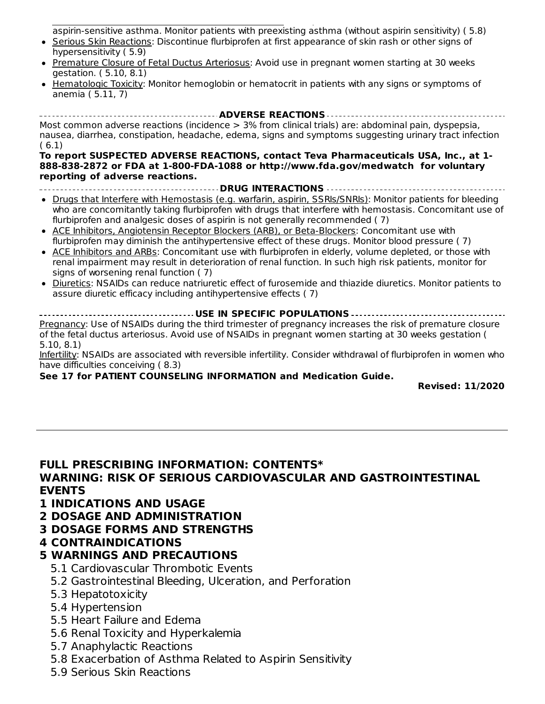Exacting to Asthma Relation of Asthma Relation  $\mathcal{L}_\text{max}$  is contrained in patients with  $\mathcal{L}_\text{max}$ aspirin-sensitive asthma. Monitor patients with preexisting asthma (without aspirin sensitivity) ( 5.8) • Serious Skin Reactions: Discontinue flurbiprofen at first appearance of skin rash or other signs of

- hypersensitivity ( 5.9) Premature Closure of Fetal Ductus Arteriosus: Avoid use in pregnant women starting at 30 weeks gestation. ( 5.10, 8.1)
- Hematologic Toxicity: Monitor hemoglobin or hematocrit in patients with any signs or symptoms of anemia ( 5.11, 7)

**ADVERSE REACTIONS** Most common adverse reactions (incidence > 3% from clinical trials) are: abdominal pain, dyspepsia, nausea, diarrhea, constipation, headache, edema, signs and symptoms suggesting urinary tract infection ( 6.1)

#### **To report SUSPECTED ADVERSE REACTIONS, contact Teva Pharmaceuticals USA, Inc., at 1- 888-838-2872 or FDA at 1-800-FDA-1088 or http://www.fda.gov/medwatch for voluntary reporting of adverse reactions.**

- **DRUG INTERACTIONS**
- Drugs that Interfere with Hemostasis (e.g. warfarin, aspirin, SSRIs/SNRIs): Monitor patients for bleeding who are concomitantly taking flurbiprofen with drugs that interfere with hemostasis. Concomitant use of flurbiprofen and analgesic doses of aspirin is not generally recommended ( 7)
- ACE Inhibitors, Angiotensin Receptor Blockers (ARB), or Beta-Blockers: Concomitant use with flurbiprofen may diminish the antihypertensive effect of these drugs. Monitor blood pressure ( 7)
- ACE Inhibitors and ARBs: Concomitant use with flurbiprofen in elderly, volume depleted, or those with renal impairment may result in deterioration of renal function. In such high risk patients, monitor for signs of worsening renal function ( 7)
- Diuretics: NSAIDs can reduce natriuretic effect of furosemide and thiazide diuretics. Monitor patients to assure diuretic efficacy including antihypertensive effects ( 7)

**USE IN SPECIFIC POPULATIONS** Pregnancy: Use of NSAIDs during the third trimester of pregnancy increases the risk of premature closure of the fetal ductus arteriosus. Avoid use of NSAIDs in pregnant women starting at 30 weeks gestation ( 5.10, 8.1)

Infertility: NSAIDs are associated with reversible infertility. Consider withdrawal of flurbiprofen in women who have difficulties conceiving ( 8.3)

**See 17 for PATIENT COUNSELING INFORMATION and Medication Guide.**

**Revised: 11/2020**

### **FULL PRESCRIBING INFORMATION: CONTENTS\***

### **WARNING: RISK OF SERIOUS CARDIOVASCULAR AND GASTROINTESTINAL EVENTS**

- **1 INDICATIONS AND USAGE**
- **2 DOSAGE AND ADMINISTRATION**
- **3 DOSAGE FORMS AND STRENGTHS**
- **4 CONTRAINDICATIONS**

## **5 WARNINGS AND PRECAUTIONS**

- 5.1 Cardiovascular Thrombotic Events
- 5.2 Gastrointestinal Bleeding, Ulceration, and Perforation
- 5.3 Hepatotoxicity
- 5.4 Hypertension
- 5.5 Heart Failure and Edema
- 5.6 Renal Toxicity and Hyperkalemia
- 5.7 Anaphylactic Reactions
- 5.8 Exacerbation of Asthma Related to Aspirin Sensitivity
- 5.9 Serious Skin Reactions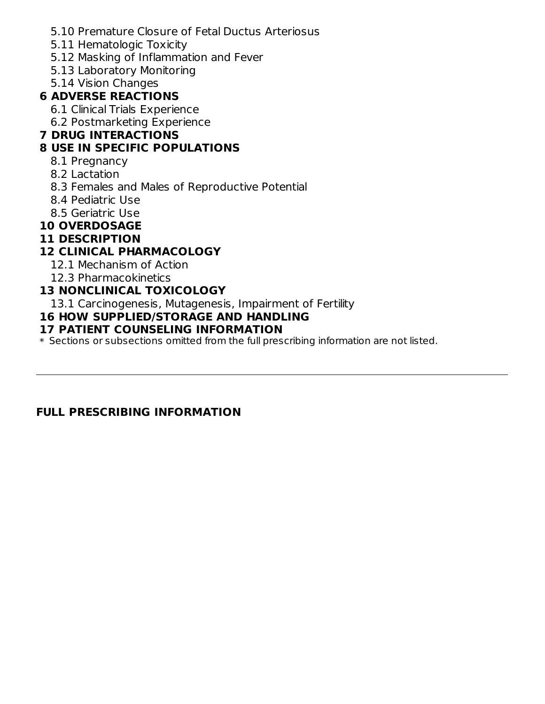- 5.10 Premature Closure of Fetal Ductus Arteriosus
- 5.11 Hematologic Toxicity
- 5.12 Masking of Inflammation and Fever
- 5.13 Laboratory Monitoring
- 5.14 Vision Changes

### **6 ADVERSE REACTIONS**

- 6.1 Clinical Trials Experience
- 6.2 Postmarketing Experience

### **7 DRUG INTERACTIONS**

### **8 USE IN SPECIFIC POPULATIONS**

- 8.1 Pregnancy
- 8.2 Lactation
- 8.3 Females and Males of Reproductive Potential
- 8.4 Pediatric Use
- 8.5 Geriatric Use

## **10 OVERDOSAGE**

### **11 DESCRIPTION**

### **12 CLINICAL PHARMACOLOGY**

- 12.1 Mechanism of Action
- 12.3 Pharmacokinetics

### **13 NONCLINICAL TOXICOLOGY**

13.1 Carcinogenesis, Mutagenesis, Impairment of Fertility

### **16 HOW SUPPLIED/STORAGE AND HANDLING**

### **17 PATIENT COUNSELING INFORMATION**

 $\ast$  Sections or subsections omitted from the full prescribing information are not listed.

### **FULL PRESCRIBING INFORMATION**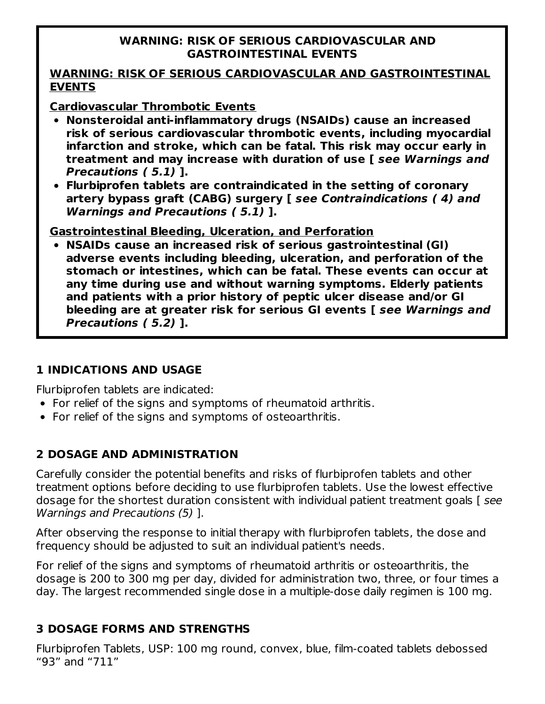### **WARNING: RISK OF SERIOUS CARDIOVASCULAR AND GASTROINTESTINAL EVENTS**

### **WARNING: RISK OF SERIOUS CARDIOVASCULAR AND GASTROINTESTINAL EVENTS**

**Cardiovascular Thrombotic Events**

- **Nonsteroidal anti-inflammatory drugs (NSAIDs) cause an increased risk of serious cardiovascular thrombotic events, including myocardial infarction and stroke, which can be fatal. This risk may occur early in treatment and may increase with duration of use [ see Warnings and Precautions ( 5.1) ].**
- **Flurbiprofen tablets are contraindicated in the setting of coronary artery bypass graft (CABG) surgery [ see Contraindications ( 4) and Warnings and Precautions ( 5.1) ].**

**Gastrointestinal Bleeding, Ulceration, and Perforation**

**NSAIDs cause an increased risk of serious gastrointestinal (GI) adverse events including bleeding, ulceration, and perforation of the stomach or intestines, which can be fatal. These events can occur at any time during use and without warning symptoms. Elderly patients and patients with a prior history of peptic ulcer disease and/or GI bleeding are at greater risk for serious GI events [ see Warnings and Precautions ( 5.2) ].**

## **1 INDICATIONS AND USAGE**

Flurbiprofen tablets are indicated:

- For relief of the signs and symptoms of rheumatoid arthritis.
- For relief of the signs and symptoms of osteoarthritis.

# **2 DOSAGE AND ADMINISTRATION**

Carefully consider the potential benefits and risks of flurbiprofen tablets and other treatment options before deciding to use flurbiprofen tablets. Use the lowest effective dosage for the shortest duration consistent with individual patient treatment goals [ see Warnings and Precautions (5) ].

After observing the response to initial therapy with flurbiprofen tablets, the dose and frequency should be adjusted to suit an individual patient's needs.

For relief of the signs and symptoms of rheumatoid arthritis or osteoarthritis, the dosage is 200 to 300 mg per day, divided for administration two, three, or four times a day. The largest recommended single dose in a multiple-dose daily regimen is 100 mg.

# **3 DOSAGE FORMS AND STRENGTHS**

Flurbiprofen Tablets, USP: 100 mg round, convex, blue, film-coated tablets debossed "93" and "711"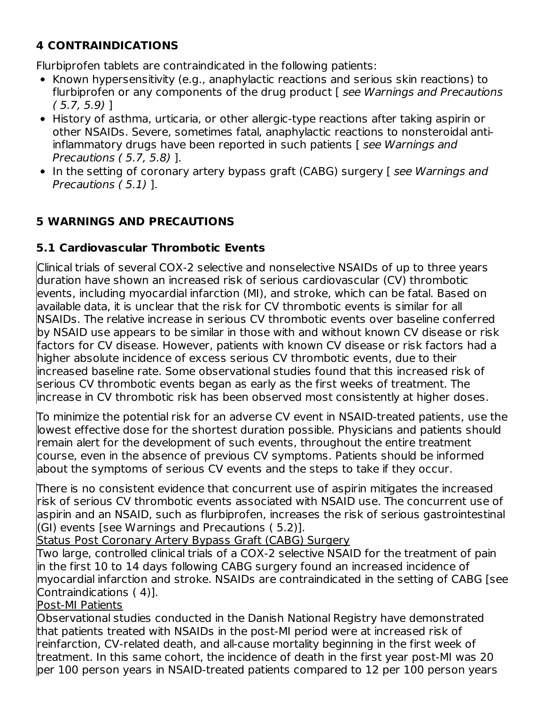# **4 CONTRAINDICATIONS**

Flurbiprofen tablets are contraindicated in the following patients:

- Known hypersensitivity (e.g., anaphylactic reactions and serious skin reactions) to flurbiprofen or any components of the drug product [see Warnings and Precautions ( 5.7, 5.9) ]
- History of asthma, urticaria, or other allergic-type reactions after taking aspirin or other NSAIDs. Severe, sometimes fatal, anaphylactic reactions to nonsteroidal antiinflammatory drugs have been reported in such patients [ see Warnings and Precautions ( 5.7, 5.8) ].
- In the setting of coronary artery bypass graft (CABG) surgery [ see Warnings and Precautions ( 5.1) ].

# **5 WARNINGS AND PRECAUTIONS**

# **5.1 Cardiovascular Thrombotic Events**

Clinical trials of several COX-2 selective and nonselective NSAIDs of up to three years duration have shown an increased risk of serious cardiovascular (CV) thrombotic events, including myocardial infarction (MI), and stroke, which can be fatal. Based on available data, it is unclear that the risk for CV thrombotic events is similar for all NSAIDs. The relative increase in serious CV thrombotic events over baseline conferred by NSAID use appears to be similar in those with and without known CV disease or risk factors for CV disease. However, patients with known CV disease or risk factors had a higher absolute incidence of excess serious CV thrombotic events, due to their increased baseline rate. Some observational studies found that this increased risk of serious CV thrombotic events began as early as the first weeks of treatment. The increase in CV thrombotic risk has been observed most consistently at higher doses.

To minimize the potential risk for an adverse CV event in NSAID-treated patients, use the lowest effective dose for the shortest duration possible. Physicians and patients should remain alert for the development of such events, throughout the entire treatment course, even in the absence of previous CV symptoms. Patients should be informed about the symptoms of serious CV events and the steps to take if they occur.

There is no consistent evidence that concurrent use of aspirin mitigates the increased risk of serious CV thrombotic events associated with NSAID use. The concurrent use of aspirin and an NSAID, such as flurbiprofen, increases the risk of serious gastrointestinal (GI) events [see Warnings and Precautions ( 5.2)].

Status Post Coronary Artery Bypass Graft (CABG) Surgery

Two large, controlled clinical trials of a COX-2 selective NSAID for the treatment of pain in the first 10 to 14 days following CABG surgery found an increased incidence of myocardial infarction and stroke. NSAIDs are contraindicated in the setting of CABG [see Contraindications ( 4)].

## Post-MI Patients

Observational studies conducted in the Danish National Registry have demonstrated that patients treated with NSAIDs in the post-MI period were at increased risk of reinfarction, CV-related death, and all-cause mortality beginning in the first week of treatment. In this same cohort, the incidence of death in the first year post-MI was 20 per 100 person years in NSAID-treated patients compared to 12 per 100 person years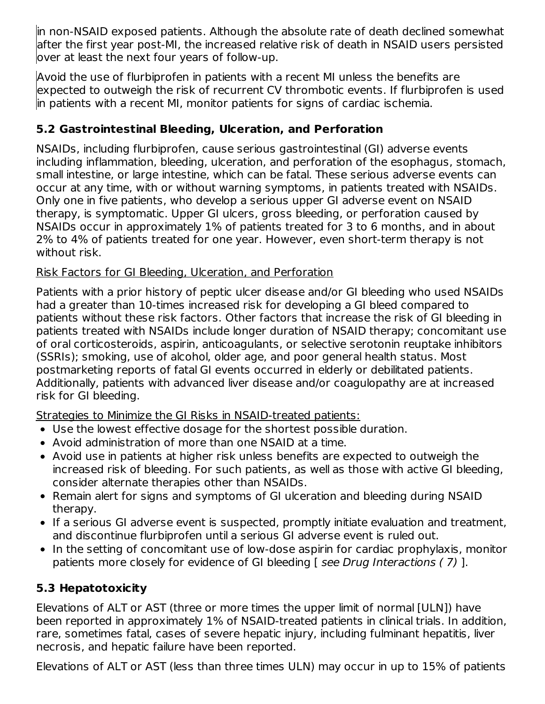in non-NSAID exposed patients. Although the absolute rate of death declined somewhat after the first year post-MI, the increased relative risk of death in NSAID users persisted over at least the next four years of follow-up.

Avoid the use of flurbiprofen in patients with a recent MI unless the benefits are expected to outweigh the risk of recurrent CV thrombotic events. If flurbiprofen is used in patients with a recent MI, monitor patients for signs of cardiac ischemia.

# **5.2 Gastrointestinal Bleeding, Ulceration, and Perforation**

NSAIDs, including flurbiprofen, cause serious gastrointestinal (GI) adverse events including inflammation, bleeding, ulceration, and perforation of the esophagus, stomach, small intestine, or large intestine, which can be fatal. These serious adverse events can occur at any time, with or without warning symptoms, in patients treated with NSAIDs. Only one in five patients, who develop a serious upper GI adverse event on NSAID therapy, is symptomatic. Upper GI ulcers, gross bleeding, or perforation caused by NSAIDs occur in approximately 1% of patients treated for 3 to 6 months, and in about 2% to 4% of patients treated for one year. However, even short-term therapy is not without risk.

## Risk Factors for GI Bleeding, Ulceration, and Perforation

Patients with a prior history of peptic ulcer disease and/or GI bleeding who used NSAIDs had a greater than 10-times increased risk for developing a GI bleed compared to patients without these risk factors. Other factors that increase the risk of GI bleeding in patients treated with NSAIDs include longer duration of NSAID therapy; concomitant use of oral corticosteroids, aspirin, anticoagulants, or selective serotonin reuptake inhibitors (SSRIs); smoking, use of alcohol, older age, and poor general health status. Most postmarketing reports of fatal GI events occurred in elderly or debilitated patients. Additionally, patients with advanced liver disease and/or coagulopathy are at increased risk for GI bleeding.

Strategies to Minimize the GI Risks in NSAID-treated patients:

- Use the lowest effective dosage for the shortest possible duration.
- Avoid administration of more than one NSAID at a time.
- Avoid use in patients at higher risk unless benefits are expected to outweigh the increased risk of bleeding. For such patients, as well as those with active GI bleeding, consider alternate therapies other than NSAIDs.
- Remain alert for signs and symptoms of GI ulceration and bleeding during NSAID therapy.
- If a serious GI adverse event is suspected, promptly initiate evaluation and treatment, and discontinue flurbiprofen until a serious GI adverse event is ruled out.
- In the setting of concomitant use of low-dose aspirin for cardiac prophylaxis, monitor patients more closely for evidence of GI bleeding [ see Drug Interactions ( 7) ].

# **5.3 Hepatotoxicity**

Elevations of ALT or AST (three or more times the upper limit of normal [ULN]) have been reported in approximately 1% of NSAID-treated patients in clinical trials. In addition, rare, sometimes fatal, cases of severe hepatic injury, including fulminant hepatitis, liver necrosis, and hepatic failure have been reported.

Elevations of ALT or AST (less than three times ULN) may occur in up to 15% of patients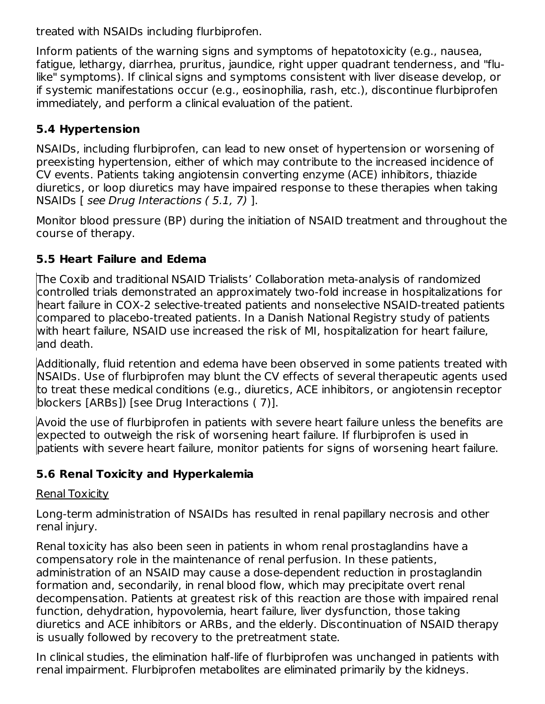treated with NSAIDs including flurbiprofen.

Inform patients of the warning signs and symptoms of hepatotoxicity (e.g., nausea, fatigue, lethargy, diarrhea, pruritus, jaundice, right upper quadrant tenderness, and "flulike" symptoms). If clinical signs and symptoms consistent with liver disease develop, or if systemic manifestations occur (e.g., eosinophilia, rash, etc.), discontinue flurbiprofen immediately, and perform a clinical evaluation of the patient.

# **5.4 Hypertension**

NSAIDs, including flurbiprofen, can lead to new onset of hypertension or worsening of preexisting hypertension, either of which may contribute to the increased incidence of CV events. Patients taking angiotensin converting enzyme (ACE) inhibitors, thiazide diuretics, or loop diuretics may have impaired response to these therapies when taking NSAIDs [ see Drug Interactions ( 5.1, 7) ].

Monitor blood pressure (BP) during the initiation of NSAID treatment and throughout the course of therapy.

# **5.5 Heart Failure and Edema**

The Coxib and traditional NSAID Trialists' Collaboration meta-analysis of randomized controlled trials demonstrated an approximately two-fold increase in hospitalizations for heart failure in COX-2 selective-treated patients and nonselective NSAID-treated patients compared to placebo-treated patients. In a Danish National Registry study of patients with heart failure, NSAID use increased the risk of MI, hospitalization for heart failure, and death.

Additionally, fluid retention and edema have been observed in some patients treated with NSAIDs. Use of flurbiprofen may blunt the CV effects of several therapeutic agents used to treat these medical conditions (e.g., diuretics, ACE inhibitors, or angiotensin receptor blockers [ARBs]) [see Drug Interactions ( 7)].

Avoid the use of flurbiprofen in patients with severe heart failure unless the benefits are expected to outweigh the risk of worsening heart failure. If flurbiprofen is used in patients with severe heart failure, monitor patients for signs of worsening heart failure.

# **5.6 Renal Toxicity and Hyperkalemia**

## Renal Toxicity

Long-term administration of NSAIDs has resulted in renal papillary necrosis and other renal injury.

Renal toxicity has also been seen in patients in whom renal prostaglandins have a compensatory role in the maintenance of renal perfusion. In these patients, administration of an NSAID may cause a dose-dependent reduction in prostaglandin formation and, secondarily, in renal blood flow, which may precipitate overt renal decompensation. Patients at greatest risk of this reaction are those with impaired renal function, dehydration, hypovolemia, heart failure, liver dysfunction, those taking diuretics and ACE inhibitors or ARBs, and the elderly. Discontinuation of NSAID therapy is usually followed by recovery to the pretreatment state.

In clinical studies, the elimination half-life of flurbiprofen was unchanged in patients with renal impairment. Flurbiprofen metabolites are eliminated primarily by the kidneys.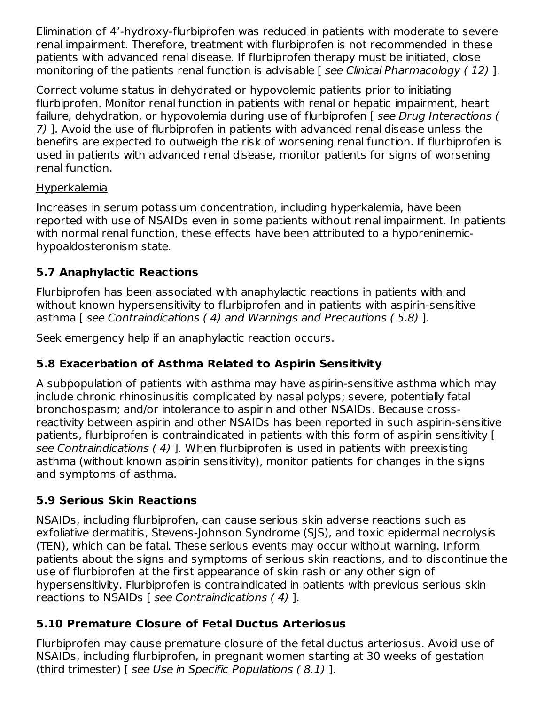Elimination of 4'-hydroxy-flurbiprofen was reduced in patients with moderate to severe renal impairment. Therefore, treatment with flurbiprofen is not recommended in these patients with advanced renal disease. If flurbiprofen therapy must be initiated, close monitoring of the patients renal function is advisable [ see Clinical Pharmacology (12) ].

Correct volume status in dehydrated or hypovolemic patients prior to initiating flurbiprofen. Monitor renal function in patients with renal or hepatic impairment, heart failure, dehydration, or hypovolemia during use of flurbiprofen [see Drug Interactions ( 7) ]. Avoid the use of flurbiprofen in patients with advanced renal disease unless the benefits are expected to outweigh the risk of worsening renal function. If flurbiprofen is used in patients with advanced renal disease, monitor patients for signs of worsening renal function.

## Hyperkalemia

Increases in serum potassium concentration, including hyperkalemia, have been reported with use of NSAIDs even in some patients without renal impairment. In patients with normal renal function, these effects have been attributed to a hyporeninemichypoaldosteronism state.

# **5.7 Anaphylactic Reactions**

Flurbiprofen has been associated with anaphylactic reactions in patients with and without known hypersensitivity to flurbiprofen and in patients with aspirin-sensitive asthma [ see Contraindications ( 4) and Warnings and Precautions ( 5.8) ].

Seek emergency help if an anaphylactic reaction occurs.

# **5.8 Exacerbation of Asthma Related to Aspirin Sensitivity**

A subpopulation of patients with asthma may have aspirin-sensitive asthma which may include chronic rhinosinusitis complicated by nasal polyps; severe, potentially fatal bronchospasm; and/or intolerance to aspirin and other NSAIDs. Because crossreactivity between aspirin and other NSAIDs has been reported in such aspirin-sensitive patients, flurbiprofen is contraindicated in patients with this form of aspirin sensitivity [ see Contraindications ( 4) ]. When flurbiprofen is used in patients with preexisting asthma (without known aspirin sensitivity), monitor patients for changes in the signs and symptoms of asthma.

# **5.9 Serious Skin Reactions**

NSAIDs, including flurbiprofen, can cause serious skin adverse reactions such as exfoliative dermatitis, Stevens-Johnson Syndrome (SJS), and toxic epidermal necrolysis (TEN), which can be fatal. These serious events may occur without warning. Inform patients about the signs and symptoms of serious skin reactions, and to discontinue the use of flurbiprofen at the first appearance of skin rash or any other sign of hypersensitivity. Flurbiprofen is contraindicated in patients with previous serious skin reactions to NSAIDs [ see Contraindications ( 4) ].

# **5.10 Premature Closure of Fetal Ductus Arteriosus**

Flurbiprofen may cause premature closure of the fetal ductus arteriosus. Avoid use of NSAIDs, including flurbiprofen, in pregnant women starting at 30 weeks of gestation (third trimester) [ see Use in Specific Populations ( 8.1) ].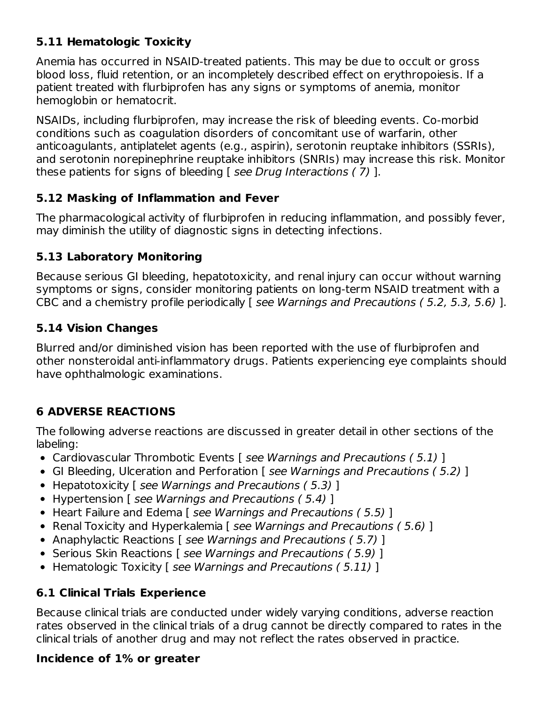# **5.11 Hematologic Toxicity**

Anemia has occurred in NSAID-treated patients. This may be due to occult or gross blood loss, fluid retention, or an incompletely described effect on erythropoiesis. If a patient treated with flurbiprofen has any signs or symptoms of anemia, monitor hemoglobin or hematocrit.

NSAIDs, including flurbiprofen, may increase the risk of bleeding events. Co-morbid conditions such as coagulation disorders of concomitant use of warfarin, other anticoagulants, antiplatelet agents (e.g., aspirin), serotonin reuptake inhibitors (SSRIs), and serotonin norepinephrine reuptake inhibitors (SNRIs) may increase this risk. Monitor these patients for signs of bleeding [ see Drug Interactions ( 7) ].

## **5.12 Masking of Inflammation and Fever**

The pharmacological activity of flurbiprofen in reducing inflammation, and possibly fever, may diminish the utility of diagnostic signs in detecting infections.

### **5.13 Laboratory Monitoring**

Because serious GI bleeding, hepatotoxicity, and renal injury can occur without warning symptoms or signs, consider monitoring patients on long-term NSAID treatment with a CBC and a chemistry profile periodically [ see Warnings and Precautions ( 5.2, 5.3, 5.6) ].

## **5.14 Vision Changes**

Blurred and/or diminished vision has been reported with the use of flurbiprofen and other nonsteroidal anti-inflammatory drugs. Patients experiencing eye complaints should have ophthalmologic examinations.

# **6 ADVERSE REACTIONS**

The following adverse reactions are discussed in greater detail in other sections of the labeling:

- Cardiovascular Thrombotic Events [ see Warnings and Precautions (5.1) ]
- GI Bleeding, Ulceration and Perforation [see Warnings and Precautions (5.2) ]
- Hepatotoxicity [ see Warnings and Precautions (5.3) ]
- Hypertension [ see Warnings and Precautions (5.4) ]
- Heart Failure and Edema [ see Warnings and Precautions (5.5) ]
- Renal Toxicity and Hyperkalemia [ see Warnings and Precautions (5.6) ]
- Anaphylactic Reactions [ see Warnings and Precautions (5.7) ]
- Serious Skin Reactions [ see Warnings and Precautions (5.9) ]
- Hematologic Toxicity [ see Warnings and Precautions (5.11) ]

## **6.1 Clinical Trials Experience**

Because clinical trials are conducted under widely varying conditions, adverse reaction rates observed in the clinical trials of a drug cannot be directly compared to rates in the clinical trials of another drug and may not reflect the rates observed in practice.

## **Incidence of 1% or greater**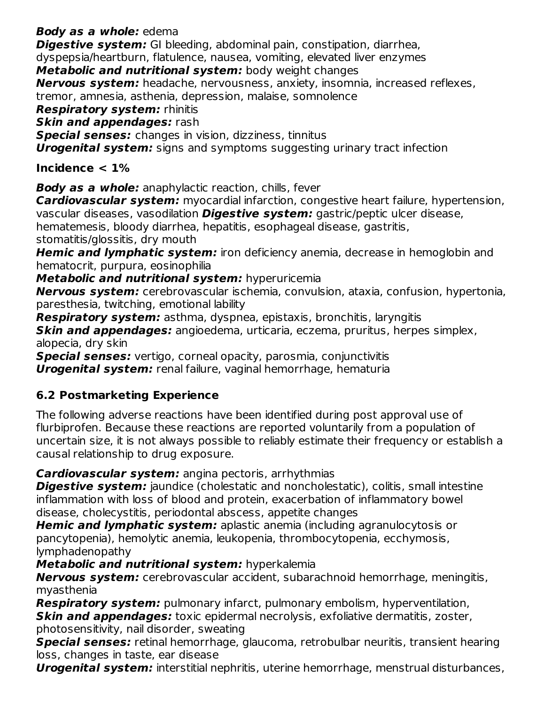## **Body as a whole:** edema

**Digestive system:** GI bleeding, abdominal pain, constipation, diarrhea,

dyspepsia/heartburn, flatulence, nausea, vomiting, elevated liver enzymes

**Metabolic and nutritional system:** body weight changes

**Nervous system:** headache, nervousness, anxiety, insomnia, increased reflexes,

tremor, amnesia, asthenia, depression, malaise, somnolence

**Respiratory system:** rhinitis

**Skin and appendages:** rash

**Special senses:** changes in vision, dizziness, tinnitus

**Urogenital system:** signs and symptoms suggesting urinary tract infection

## **Incidence < 1%**

**Body as a whole:** anaphylactic reaction, chills, fever

**Cardiovascular system:** myocardial infarction, congestive heart failure, hypertension, vascular diseases, vasodilation **Digestive system:** gastric/peptic ulcer disease, hematemesis, bloody diarrhea, hepatitis, esophageal disease, gastritis, stomatitis/glossitis, dry mouth

**Hemic and lymphatic system:** iron deficiency anemia, decrease in hemoglobin and hematocrit, purpura, eosinophilia

**Metabolic and nutritional system:** hyperuricemia

**Nervous system:** cerebrovascular ischemia, convulsion, ataxia, confusion, hypertonia, paresthesia, twitching, emotional lability

**Respiratory system:** asthma, dyspnea, epistaxis, bronchitis, laryngitis **Skin and appendages:** angioedema, urticaria, eczema, pruritus, herpes simplex, alopecia, dry skin

**Special senses:** vertigo, corneal opacity, parosmia, conjunctivitis **Urogenital system:** renal failure, vaginal hemorrhage, hematuria

# **6.2 Postmarketing Experience**

The following adverse reactions have been identified during post approval use of flurbiprofen. Because these reactions are reported voluntarily from a population of uncertain size, it is not always possible to reliably estimate their frequency or establish a causal relationship to drug exposure.

**Cardiovascular system:** angina pectoris, arrhythmias

**Digestive system:** jaundice (cholestatic and noncholestatic), colitis, small intestine inflammation with loss of blood and protein, exacerbation of inflammatory bowel disease, cholecystitis, periodontal abscess, appetite changes

**Hemic and lymphatic system:** aplastic anemia (including agranulocytosis or pancytopenia), hemolytic anemia, leukopenia, thrombocytopenia, ecchymosis, lymphadenopathy

**Metabolic and nutritional system:** hyperkalemia

**Nervous system:** cerebrovascular accident, subarachnoid hemorrhage, meningitis, myasthenia

**Respiratory system:** pulmonary infarct, pulmonary embolism, hyperventilation, **Skin and appendages:** toxic epidermal necrolysis, exfoliative dermatitis, zoster, photosensitivity, nail disorder, sweating

**Special senses:** retinal hemorrhage, glaucoma, retrobulbar neuritis, transient hearing loss, changes in taste, ear disease

**Urogenital system:** interstitial nephritis, uterine hemorrhage, menstrual disturbances,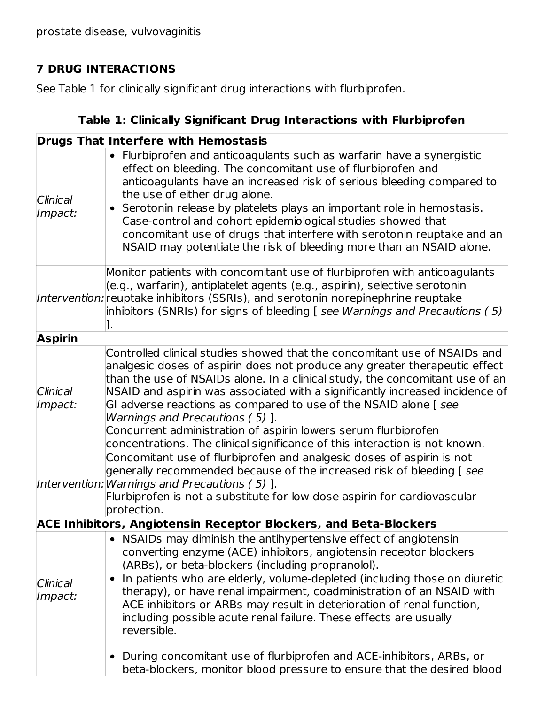# **7 DRUG INTERACTIONS**

See Table 1 for clinically significant drug interactions with flurbiprofen.

| Table 1: Clinically Significant Drug Interactions with Flurbiprofen |  |  |  |  |  |  |  |
|---------------------------------------------------------------------|--|--|--|--|--|--|--|
|---------------------------------------------------------------------|--|--|--|--|--|--|--|

|                     | <b>Drugs That Interfere with Hemostasis</b>                                                                                                                                                                                                                                                                                                                                                                                                                                                                                                                                                                                                                                                                                                                                        |
|---------------------|------------------------------------------------------------------------------------------------------------------------------------------------------------------------------------------------------------------------------------------------------------------------------------------------------------------------------------------------------------------------------------------------------------------------------------------------------------------------------------------------------------------------------------------------------------------------------------------------------------------------------------------------------------------------------------------------------------------------------------------------------------------------------------|
| Clinical<br>Impact: | Flurbiprofen and anticoagulants such as warfarin have a synergistic<br>$\bullet$<br>effect on bleeding. The concomitant use of flurbiprofen and<br>anticoagulants have an increased risk of serious bleeding compared to<br>the use of either drug alone.<br>Serotonin release by platelets plays an important role in hemostasis.<br>Case-control and cohort epidemiological studies showed that<br>concomitant use of drugs that interfere with serotonin reuptake and an<br>NSAID may potentiate the risk of bleeding more than an NSAID alone.                                                                                                                                                                                                                                 |
|                     | Monitor patients with concomitant use of flurbiprofen with anticoagulants<br>(e.g., warfarin), antiplatelet agents (e.g., aspirin), selective serotonin<br>Intervention: reuptake inhibitors (SSRIs), and serotonin norepinephrine reuptake<br>inhibitors (SNRIs) for signs of bleeding [ see Warnings and Precautions (5)                                                                                                                                                                                                                                                                                                                                                                                                                                                         |
| <b>Aspirin</b>      |                                                                                                                                                                                                                                                                                                                                                                                                                                                                                                                                                                                                                                                                                                                                                                                    |
| Clinical<br>Impact: | Controlled clinical studies showed that the concomitant use of NSAIDs and<br>analgesic doses of aspirin does not produce any greater therapeutic effect<br>than the use of NSAIDs alone. In a clinical study, the concomitant use of an<br>NSAID and aspirin was associated with a significantly increased incidence of<br>GI adverse reactions as compared to use of the NSAID alone [ see<br>Warnings and Precautions (5) ].<br>Concurrent administration of aspirin lowers serum flurbiprofen<br>concentrations. The clinical significance of this interaction is not known.<br>Concomitant use of flurbiprofen and analgesic doses of aspirin is not<br>generally recommended because of the increased risk of bleeding [ see<br>Intervention: Warnings and Precautions (5) ]. |
|                     | Flurbiprofen is not a substitute for low dose aspirin for cardiovascular<br>protection.                                                                                                                                                                                                                                                                                                                                                                                                                                                                                                                                                                                                                                                                                            |
|                     | <b>ACE Inhibitors, Angiotensin Receptor Blockers, and Beta-Blockers</b>                                                                                                                                                                                                                                                                                                                                                                                                                                                                                                                                                                                                                                                                                                            |
| Clinical<br>Impact: | NSAIDs may diminish the antihypertensive effect of angiotensin<br>converting enzyme (ACE) inhibitors, angiotensin receptor blockers<br>(ARBs), or beta-blockers (including propranolol).<br>In patients who are elderly, volume-depleted (including those on diuretic<br>therapy), or have renal impairment, coadministration of an NSAID with<br>ACE inhibitors or ARBs may result in deterioration of renal function,<br>including possible acute renal failure. These effects are usually<br>reversible.                                                                                                                                                                                                                                                                        |
|                     | During concomitant use of flurbiprofen and ACE-inhibitors, ARBs, or<br>beta-blockers, monitor blood pressure to ensure that the desired blood                                                                                                                                                                                                                                                                                                                                                                                                                                                                                                                                                                                                                                      |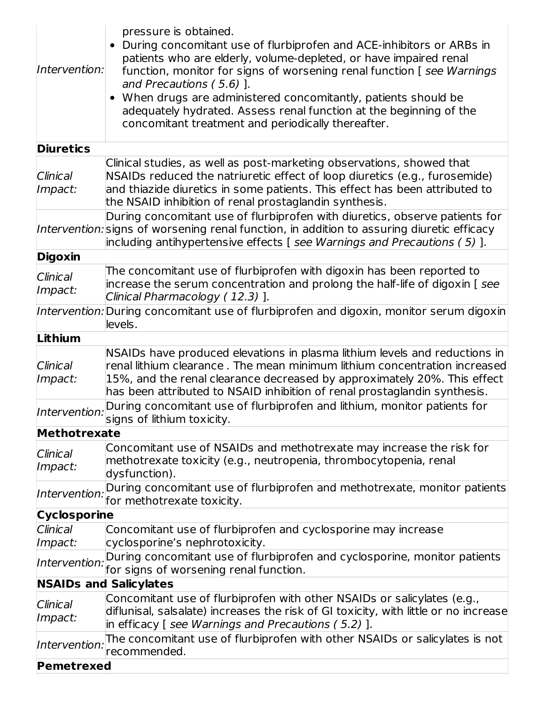| Intervention:                                                                                      | pressure is obtained.<br>During concomitant use of flurbiprofen and ACE-inhibitors or ARBs in<br>patients who are elderly, volume-depleted, or have impaired renal<br>function, monitor for signs of worsening renal function [ see Warnings<br>and Precautions (5.6) ].<br>• When drugs are administered concomitantly, patients should be<br>adequately hydrated. Assess renal function at the beginning of the<br>concomitant treatment and periodically thereafter. |  |  |  |  |  |
|----------------------------------------------------------------------------------------------------|-------------------------------------------------------------------------------------------------------------------------------------------------------------------------------------------------------------------------------------------------------------------------------------------------------------------------------------------------------------------------------------------------------------------------------------------------------------------------|--|--|--|--|--|
| <b>Diuretics</b>                                                                                   |                                                                                                                                                                                                                                                                                                                                                                                                                                                                         |  |  |  |  |  |
| Clinical<br>Impact:                                                                                | Clinical studies, as well as post-marketing observations, showed that<br>NSAIDs reduced the natriuretic effect of loop diuretics (e.g., furosemide)<br>and thiazide diuretics in some patients. This effect has been attributed to<br>the NSAID inhibition of renal prostaglandin synthesis.                                                                                                                                                                            |  |  |  |  |  |
|                                                                                                    | During concomitant use of flurbiprofen with diuretics, observe patients for<br>Intervention: signs of worsening renal function, in addition to assuring diuretic efficacy<br>including antihypertensive effects [ see Warnings and Precautions (5) ].                                                                                                                                                                                                                   |  |  |  |  |  |
| <b>Digoxin</b>                                                                                     |                                                                                                                                                                                                                                                                                                                                                                                                                                                                         |  |  |  |  |  |
| Clinical<br>Impact:                                                                                | The concomitant use of flurbiprofen with digoxin has been reported to<br>increase the serum concentration and prolong the half-life of digoxin [ see<br>Clinical Pharmacology (12.3) ].                                                                                                                                                                                                                                                                                 |  |  |  |  |  |
| Intervention: During concomitant use of flurbiprofen and digoxin, monitor serum digoxin<br>levels. |                                                                                                                                                                                                                                                                                                                                                                                                                                                                         |  |  |  |  |  |
| Lithium                                                                                            |                                                                                                                                                                                                                                                                                                                                                                                                                                                                         |  |  |  |  |  |
| Clinical<br>Impact:                                                                                | NSAIDs have produced elevations in plasma lithium levels and reductions in<br>renal lithium clearance. The mean minimum lithium concentration increased<br>15%, and the renal clearance decreased by approximately 20%. This effect<br>has been attributed to NSAID inhibition of renal prostaglandin synthesis.                                                                                                                                                        |  |  |  |  |  |
| Intervention:                                                                                      | During concomitant use of flurbiprofen and lithium, monitor patients for<br>signs of lithium toxicity.                                                                                                                                                                                                                                                                                                                                                                  |  |  |  |  |  |
| Methotrexate                                                                                       |                                                                                                                                                                                                                                                                                                                                                                                                                                                                         |  |  |  |  |  |
| Clinical<br>Impact:                                                                                | Concomitant use of NSAIDs and methotrexate may increase the risk for<br>methotrexate toxicity (e.g., neutropenia, thrombocytopenia, renal<br>dysfunction).                                                                                                                                                                                                                                                                                                              |  |  |  |  |  |
| Intervention:                                                                                      | During concomitant use of flurbiprofen and methotrexate, monitor patients<br>for methotrexate toxicity.                                                                                                                                                                                                                                                                                                                                                                 |  |  |  |  |  |
| <b>Cyclosporine</b>                                                                                |                                                                                                                                                                                                                                                                                                                                                                                                                                                                         |  |  |  |  |  |
| Clinical<br>Impact:                                                                                | Concomitant use of flurbiprofen and cyclosporine may increase<br>cyclosporine's nephrotoxicity.                                                                                                                                                                                                                                                                                                                                                                         |  |  |  |  |  |
| Intervention:                                                                                      | During concomitant use of flurbiprofen and cyclosporine, monitor patients<br>for signs of worsening renal function.                                                                                                                                                                                                                                                                                                                                                     |  |  |  |  |  |
|                                                                                                    | <b>NSAIDs and Salicylates</b>                                                                                                                                                                                                                                                                                                                                                                                                                                           |  |  |  |  |  |
| Clinical<br>Impact:                                                                                | Concomitant use of flurbiprofen with other NSAIDs or salicylates (e.g.,<br>diflunisal, salsalate) increases the risk of GI toxicity, with little or no increase<br>in efficacy [ see Warnings and Precautions (5.2) ].                                                                                                                                                                                                                                                  |  |  |  |  |  |
| Intervention:                                                                                      | The concomitant use of flurbiprofen with other NSAIDs or salicylates is not<br>recommended.                                                                                                                                                                                                                                                                                                                                                                             |  |  |  |  |  |
| Pemetrexed                                                                                         |                                                                                                                                                                                                                                                                                                                                                                                                                                                                         |  |  |  |  |  |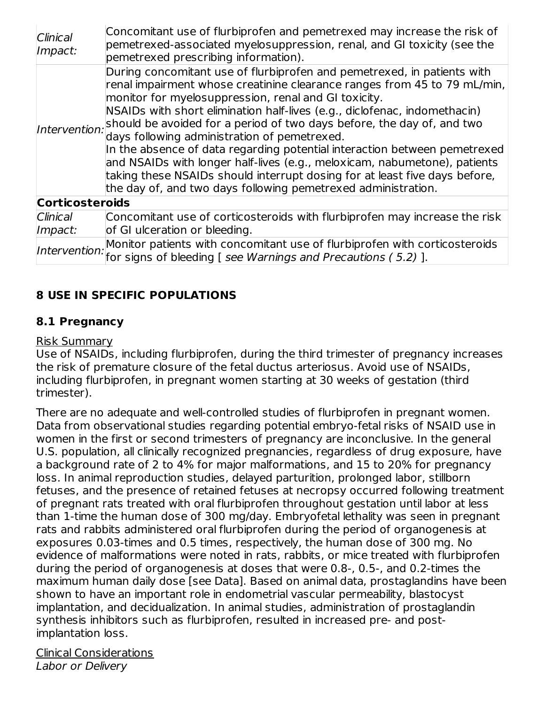| Clinical<br>Impact:    | Concomitant use of flurbiprofen and pemetrexed may increase the risk of<br>pemetrexed-associated myelosuppression, renal, and GI toxicity (see the<br>pemetrexed prescribing information).                                                                                                                                                                                                                                                                                                                                                                                                                                                                                                                                                |
|------------------------|-------------------------------------------------------------------------------------------------------------------------------------------------------------------------------------------------------------------------------------------------------------------------------------------------------------------------------------------------------------------------------------------------------------------------------------------------------------------------------------------------------------------------------------------------------------------------------------------------------------------------------------------------------------------------------------------------------------------------------------------|
|                        | During concomitant use of flurbiprofen and pemetrexed, in patients with<br>renal impairment whose creatinine clearance ranges from 45 to 79 mL/min,<br>monitor for myelosuppression, renal and GI toxicity.<br>NSAIDs with short elimination half-lives (e.g., diclofenac, indomethacin)<br>Intervention. Should be avoided for a period of two days before, the day of, and two<br>days following administration of pemetrexed.<br>In the absence of data regarding potential interaction between pemetrexed<br>and NSAIDs with longer half-lives (e.g., meloxicam, nabumetone), patients<br>taking these NSAIDs should interrupt dosing for at least five days before,<br>the day of, and two days following pemetrexed administration. |
| <b>Corticosteroids</b> |                                                                                                                                                                                                                                                                                                                                                                                                                                                                                                                                                                                                                                                                                                                                           |
| Clinical               | Concomitant use of corticosteroids with flurbiprofen may increase the risk                                                                                                                                                                                                                                                                                                                                                                                                                                                                                                                                                                                                                                                                |
| Impact:                | of GI ulceration or bleeding.                                                                                                                                                                                                                                                                                                                                                                                                                                                                                                                                                                                                                                                                                                             |
| Intervention:          | Monitor patients with concomitant use of flurbiprofen with corticosteroids<br>for signs of bleeding [see Warnings and Precautions (5.2)].                                                                                                                                                                                                                                                                                                                                                                                                                                                                                                                                                                                                 |

## **8 USE IN SPECIFIC POPULATIONS**

### **8.1 Pregnancy**

### Risk Summary

Use of NSAIDs, including flurbiprofen, during the third trimester of pregnancy increases the risk of premature closure of the fetal ductus arteriosus. Avoid use of NSAIDs, including flurbiprofen, in pregnant women starting at 30 weeks of gestation (third trimester).

There are no adequate and well-controlled studies of flurbiprofen in pregnant women. Data from observational studies regarding potential embryo-fetal risks of NSAID use in women in the first or second trimesters of pregnancy are inconclusive. In the general U.S. population, all clinically recognized pregnancies, regardless of drug exposure, have a background rate of 2 to 4% for major malformations, and 15 to 20% for pregnancy loss. In animal reproduction studies, delayed parturition, prolonged labor, stillborn fetuses, and the presence of retained fetuses at necropsy occurred following treatment of pregnant rats treated with oral flurbiprofen throughout gestation until labor at less than 1-time the human dose of 300 mg/day. Embryofetal lethality was seen in pregnant rats and rabbits administered oral flurbiprofen during the period of organogenesis at exposures 0.03-times and 0.5 times, respectively, the human dose of 300 mg. No evidence of malformations were noted in rats, rabbits, or mice treated with flurbiprofen during the period of organogenesis at doses that were 0.8-, 0.5-, and 0.2-times the maximum human daily dose [see Data]. Based on animal data, prostaglandins have been shown to have an important role in endometrial vascular permeability, blastocyst implantation, and decidualization. In animal studies, administration of prostaglandin synthesis inhibitors such as flurbiprofen, resulted in increased pre- and postimplantation loss.

Clinical Considerations Labor or Delivery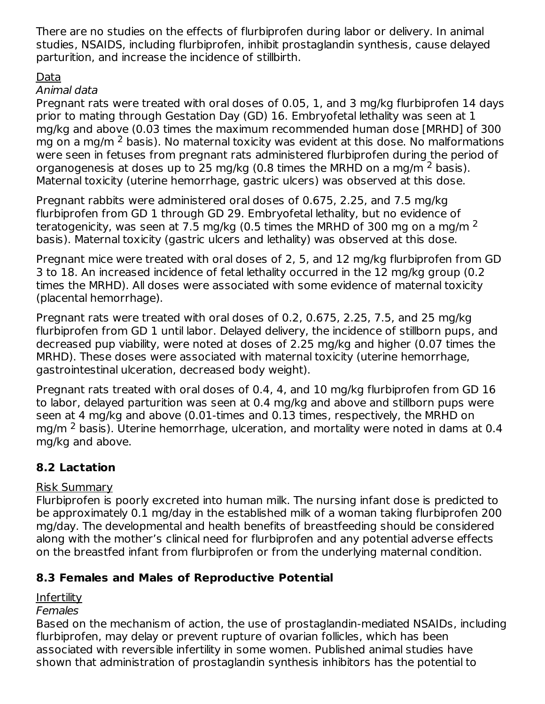There are no studies on the effects of flurbiprofen during labor or delivery. In animal studies, NSAIDS, including flurbiprofen, inhibit prostaglandin synthesis, cause delayed parturition, and increase the incidence of stillbirth.

## **Data**

### Animal data

Pregnant rats were treated with oral doses of 0.05, 1, and 3 mg/kg flurbiprofen 14 days prior to mating through Gestation Day (GD) 16. Embryofetal lethality was seen at 1 mg/kg and above (0.03 times the maximum recommended human dose [MRHD] of 300 mg on a mg/m  $^2$  basis). No maternal toxicity was evident at this dose. No malformations were seen in fetuses from pregnant rats administered flurbiprofen during the period of organogenesis at doses up to 25 mg/kg (0.8 times the MRHD on a mg/m  $^2$  basis). Maternal toxicity (uterine hemorrhage, gastric ulcers) was observed at this dose.

Pregnant rabbits were administered oral doses of 0.675, 2.25, and 7.5 mg/kg flurbiprofen from GD 1 through GD 29. Embryofetal lethality, but no evidence of teratogenicity, was seen at 7.5 mg/kg (0.5 times the MRHD of 300 mg on a mg/m  $^2$ basis). Maternal toxicity (gastric ulcers and lethality) was observed at this dose.

Pregnant mice were treated with oral doses of 2, 5, and 12 mg/kg flurbiprofen from GD 3 to 18. An increased incidence of fetal lethality occurred in the 12 mg/kg group (0.2 times the MRHD). All doses were associated with some evidence of maternal toxicity (placental hemorrhage).

Pregnant rats were treated with oral doses of 0.2, 0.675, 2.25, 7.5, and 25 mg/kg flurbiprofen from GD 1 until labor. Delayed delivery, the incidence of stillborn pups, and decreased pup viability, were noted at doses of 2.25 mg/kg and higher (0.07 times the MRHD). These doses were associated with maternal toxicity (uterine hemorrhage, gastrointestinal ulceration, decreased body weight).

Pregnant rats treated with oral doses of 0.4, 4, and 10 mg/kg flurbiprofen from GD 16 to labor, delayed parturition was seen at 0.4 mg/kg and above and stillborn pups were seen at 4 mg/kg and above (0.01-times and 0.13 times, respectively, the MRHD on mg/m  $^2$  basis). Uterine hemorrhage, ulceration, and mortality were noted in dams at 0.4 mg/kg and above.

# **8.2 Lactation**

# Risk Summary

Flurbiprofen is poorly excreted into human milk. The nursing infant dose is predicted to be approximately 0.1 mg/day in the established milk of a woman taking flurbiprofen 200 mg/day. The developmental and health benefits of breastfeeding should be considered along with the mother's clinical need for flurbiprofen and any potential adverse effects on the breastfed infant from flurbiprofen or from the underlying maternal condition.

# **8.3 Females and Males of Reproductive Potential**

Infertility

### Females

Based on the mechanism of action, the use of prostaglandin-mediated NSAIDs, including flurbiprofen, may delay or prevent rupture of ovarian follicles, which has been associated with reversible infertility in some women. Published animal studies have shown that administration of prostaglandin synthesis inhibitors has the potential to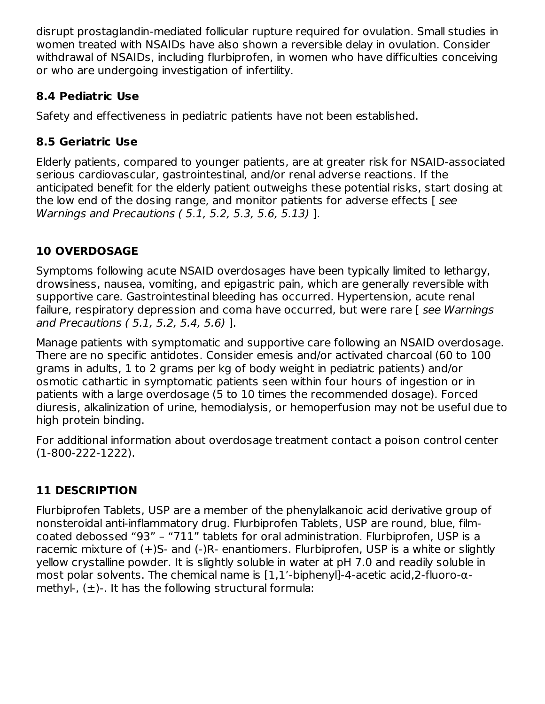disrupt prostaglandin-mediated follicular rupture required for ovulation. Small studies in women treated with NSAIDs have also shown a reversible delay in ovulation. Consider withdrawal of NSAIDs, including flurbiprofen, in women who have difficulties conceiving or who are undergoing investigation of infertility.

# **8.4 Pediatric Use**

Safety and effectiveness in pediatric patients have not been established.

# **8.5 Geriatric Use**

Elderly patients, compared to younger patients, are at greater risk for NSAID-associated serious cardiovascular, gastrointestinal, and/or renal adverse reactions. If the anticipated benefit for the elderly patient outweighs these potential risks, start dosing at the low end of the dosing range, and monitor patients for adverse effects [ see Warnings and Precautions ( 5.1, 5.2, 5.3, 5.6, 5.13) ].

# **10 OVERDOSAGE**

Symptoms following acute NSAID overdosages have been typically limited to lethargy, drowsiness, nausea, vomiting, and epigastric pain, which are generally reversible with supportive care. Gastrointestinal bleeding has occurred. Hypertension, acute renal failure, respiratory depression and coma have occurred, but were rare [see Warnings] and Precautions ( 5.1, 5.2, 5.4, 5.6) ].

Manage patients with symptomatic and supportive care following an NSAID overdosage. There are no specific antidotes. Consider emesis and/or activated charcoal (60 to 100 grams in adults, 1 to 2 grams per kg of body weight in pediatric patients) and/or osmotic cathartic in symptomatic patients seen within four hours of ingestion or in patients with a large overdosage (5 to 10 times the recommended dosage). Forced diuresis, alkalinization of urine, hemodialysis, or hemoperfusion may not be useful due to high protein binding.

For additional information about overdosage treatment contact a poison control center (1-800-222-1222).

# **11 DESCRIPTION**

Flurbiprofen Tablets, USP are a member of the phenylalkanoic acid derivative group of nonsteroidal anti-inflammatory drug. Flurbiprofen Tablets, USP are round, blue, filmcoated debossed "93" – "711" tablets for oral administration. Flurbiprofen, USP is a racemic mixture of  $(+)$ S- and  $(-)$ R- enantiomers. Flurbiprofen, USP is a white or slightly yellow crystalline powder. It is slightly soluble in water at pH 7.0 and readily soluble in most polar solvents. The chemical name is [1,1'-biphenyl]-4-acetic acid,2-fluoro-αmethyl-,  $(\pm)$ -. It has the following structural formula: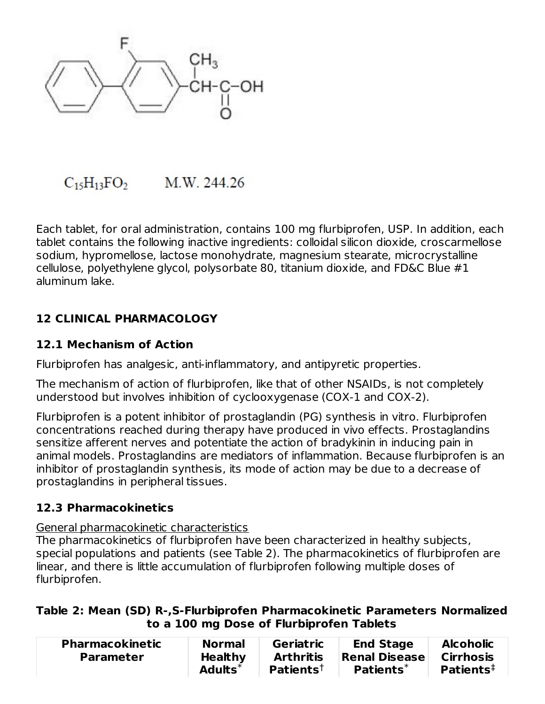

#### $C_{15}H_{13}FO_2$ M.W. 244.26

Each tablet, for oral administration, contains 100 mg flurbiprofen, USP. In addition, each tablet contains the following inactive ingredients: colloidal silicon dioxide, croscarmellose sodium, hypromellose, lactose monohydrate, magnesium stearate, microcrystalline cellulose, polyethylene glycol, polysorbate 80, titanium dioxide, and FD&C Blue #1 aluminum lake.

# **12 CLINICAL PHARMACOLOGY**

### **12.1 Mechanism of Action**

Flurbiprofen has analgesic, anti-inflammatory, and antipyretic properties.

The mechanism of action of flurbiprofen, like that of other NSAIDs, is not completely understood but involves inhibition of cyclooxygenase (COX-1 and COX-2).

Flurbiprofen is a potent inhibitor of prostaglandin (PG) synthesis in vitro. Flurbiprofen concentrations reached during therapy have produced in vivo effects. Prostaglandins sensitize afferent nerves and potentiate the action of bradykinin in inducing pain in animal models. Prostaglandins are mediators of inflammation. Because flurbiprofen is an inhibitor of prostaglandin synthesis, its mode of action may be due to a decrease of prostaglandins in peripheral tissues.

### **12.3 Pharmacokinetics**

### General pharmacokinetic characteristics

The pharmacokinetics of flurbiprofen have been characterized in healthy subjects, special populations and patients (see Table 2). The pharmacokinetics of flurbiprofen are linear, and there is little accumulation of flurbiprofen following multiple doses of flurbiprofen.

### **Table 2: Mean (SD) R-,S-Flurbiprofen Pharmacokinetic Parameters Normalized to a 100 mg Dose of Flurbiprofen Tablets**

| Pharmacokinetic  | <b>Normal</b>  | <b>Geriatric</b>                         | <b>End Stage</b>     | <b>Alcoholic</b>      |
|------------------|----------------|------------------------------------------|----------------------|-----------------------|
| <b>Parameter</b> | <b>Healthy</b> | <b>Arthritis</b>                         | <b>Renal Disease</b> | <b>Cirrhosis</b>      |
|                  | Adults $^*$    | Patients <sup><math>\dagger</math></sup> | Patients $*$         | Patients <sup>‡</sup> |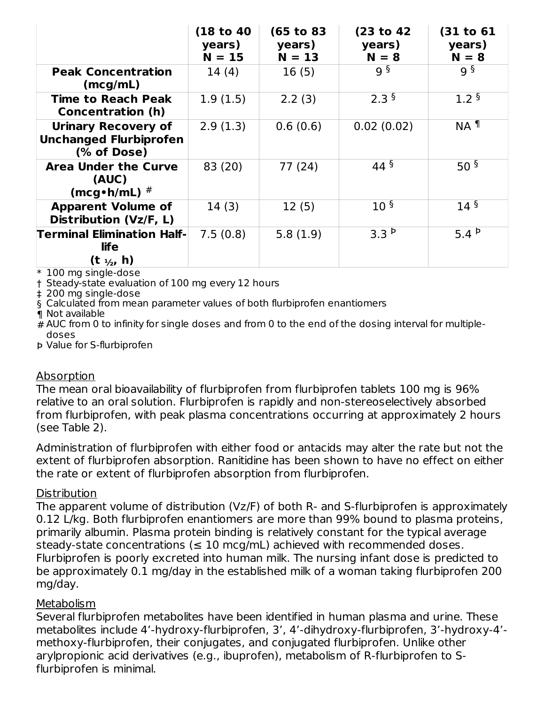|                                                                              | (18 to 40<br>years)<br>$N = 15$ | (65 to 83<br>years)<br>$N = 13$ | (23 to 42)<br>years)<br>$N = 8$ | (31 to 61<br>years)<br>$N = 8$ |
|------------------------------------------------------------------------------|---------------------------------|---------------------------------|---------------------------------|--------------------------------|
| <b>Peak Concentration</b><br>(mcg/mL)                                        | 14(4)                           | 16(5)                           | 9 <sup>§</sup>                  | 9 <sup>§</sup>                 |
| <b>Time to Reach Peak</b><br><b>Concentration (h)</b>                        | 1.9(1.5)                        | 2.2(3)                          | 2.3 <sup>§</sup>                | 1.2 <sup>§</sup>               |
| <b>Urinary Recovery of</b><br><b>Unchanged Flurbiprofen</b><br>(% of Dose)   | 2.9(1.3)                        | 0.6(0.6)                        | 0.02(0.02)                      | $NA$ <sup>1</sup>              |
| <b>Area Under the Curve</b><br>(AUC)<br>(mcg•h/mL) $#$                       | 83 (20)                         | 77(24)                          | 44 $\frac{5}{3}$                | 50 $S$                         |
| <b>Apparent Volume of</b><br>Distribution (Vz/F, L)                          | 14(3)                           | 12(5)                           | 10 <sup>§</sup>                 | 14 <sup>§</sup>                |
| <b>Terminal Elimination Half-</b><br><b>life</b><br>(t $_{\frac{1}{2}}$ , h) | 7.5(0.8)                        | 5.8(1.9)                        | 3.3P                            | 5.4 $P$                        |

\* 100 mg single-dose

† Steady-state evaluation of 100 mg every 12 hours

‡ 200 mg single-dose

§ Calculated from mean parameter values of both flurbiprofen enantiomers

¶ Not available

# AUC from 0 to infinity for single doses and from 0 to the end of the dosing interval for multipledoses

Þ Value for S-flurbiprofen

### Absorption

The mean oral bioavailability of flurbiprofen from flurbiprofen tablets 100 mg is 96% relative to an oral solution. Flurbiprofen is rapidly and non-stereoselectively absorbed from flurbiprofen, with peak plasma concentrations occurring at approximately 2 hours (see Table 2).

Administration of flurbiprofen with either food or antacids may alter the rate but not the extent of flurbiprofen absorption. Ranitidine has been shown to have no effect on either the rate or extent of flurbiprofen absorption from flurbiprofen.

### **Distribution**

The apparent volume of distribution (Vz/F) of both R- and S-flurbiprofen is approximately 0.12 L/kg. Both flurbiprofen enantiomers are more than 99% bound to plasma proteins, primarily albumin. Plasma protein binding is relatively constant for the typical average steady-state concentrations ( $\leq 10$  mcg/mL) achieved with recommended doses. Flurbiprofen is poorly excreted into human milk. The nursing infant dose is predicted to be approximately 0.1 mg/day in the established milk of a woman taking flurbiprofen 200 mg/day.

### Metabolism

Several flurbiprofen metabolites have been identified in human plasma and urine. These metabolites include 4'-hydroxy-flurbiprofen, 3', 4'-dihydroxy-flurbiprofen, 3'-hydroxy-4' methoxy-flurbiprofen, their conjugates, and conjugated flurbiprofen. Unlike other arylpropionic acid derivatives (e.g., ibuprofen), metabolism of R-flurbiprofen to Sflurbiprofen is minimal.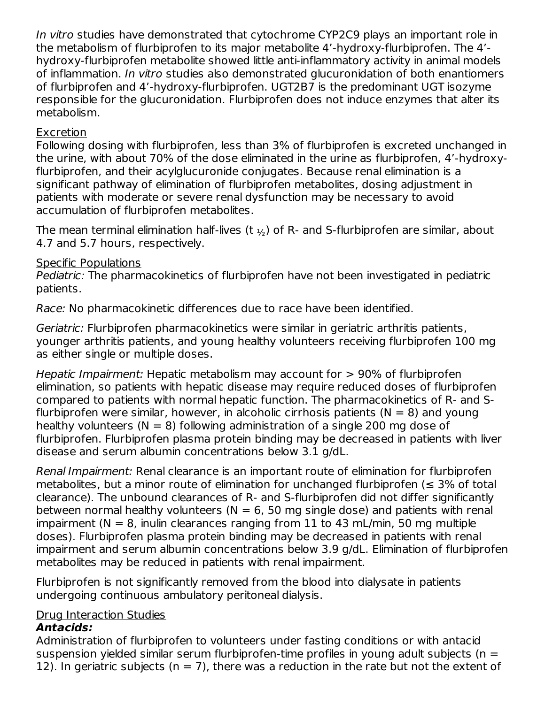In vitro studies have demonstrated that cytochrome CYP2C9 plays an important role in the metabolism of flurbiprofen to its major metabolite 4'-hydroxy-flurbiprofen. The 4' hydroxy-flurbiprofen metabolite showed little anti-inflammatory activity in animal models of inflammation. In vitro studies also demonstrated glucuronidation of both enantiomers of flurbiprofen and 4'-hydroxy-flurbiprofen. UGT2B7 is the predominant UGT isozyme responsible for the glucuronidation. Flurbiprofen does not induce enzymes that alter its metabolism.

### Excretion

Following dosing with flurbiprofen, less than 3% of flurbiprofen is excreted unchanged in the urine, with about 70% of the dose eliminated in the urine as flurbiprofen, 4'-hydroxyflurbiprofen, and their acylglucuronide conjugates. Because renal elimination is a significant pathway of elimination of flurbiprofen metabolites, dosing adjustment in patients with moderate or severe renal dysfunction may be necessary to avoid accumulation of flurbiprofen metabolites.

The mean terminal elimination half-lives (t  $\psi_2$ ) of R- and S-flurbiprofen are similar, about 4.7 and 5.7 hours, respectively.

### Specific Populations

Pediatric: The pharmacokinetics of flurbiprofen have not been investigated in pediatric patients.

Race: No pharmacokinetic differences due to race have been identified.

Geriatric: Flurbiprofen pharmacokinetics were similar in geriatric arthritis patients, younger arthritis patients, and young healthy volunteers receiving flurbiprofen 100 mg as either single or multiple doses.

Hepatic Impairment: Hepatic metabolism may account for > 90% of flurbiprofen elimination, so patients with hepatic disease may require reduced doses of flurbiprofen compared to patients with normal hepatic function. The pharmacokinetics of R- and Sflurbiprofen were similar, however, in alcoholic cirrhosis patients ( $N = 8$ ) and young healthy volunteers ( $N = 8$ ) following administration of a single 200 mg dose of flurbiprofen. Flurbiprofen plasma protein binding may be decreased in patients with liver disease and serum albumin concentrations below 3.1 g/dL.

Renal Impairment: Renal clearance is an important route of elimination for flurbiprofen metabolites, but a minor route of elimination for unchanged flurbiprofen ( $\leq$  3% of total clearance). The unbound clearances of R- and S-flurbiprofen did not differ significantly between normal healthy volunteers ( $N = 6$ , 50 mg single dose) and patients with renal impairment ( $N = 8$ , inulin clearances ranging from 11 to 43 mL/min, 50 mg multiple doses). Flurbiprofen plasma protein binding may be decreased in patients with renal impairment and serum albumin concentrations below 3.9 g/dL. Elimination of flurbiprofen metabolites may be reduced in patients with renal impairment.

Flurbiprofen is not significantly removed from the blood into dialysate in patients undergoing continuous ambulatory peritoneal dialysis.

## Drug Interaction Studies

## **Antacids:**

Administration of flurbiprofen to volunteers under fasting conditions or with antacid suspension yielded similar serum flurbiprofen-time profiles in young adult subjects ( $n =$ 12). In geriatric subjects ( $n = 7$ ), there was a reduction in the rate but not the extent of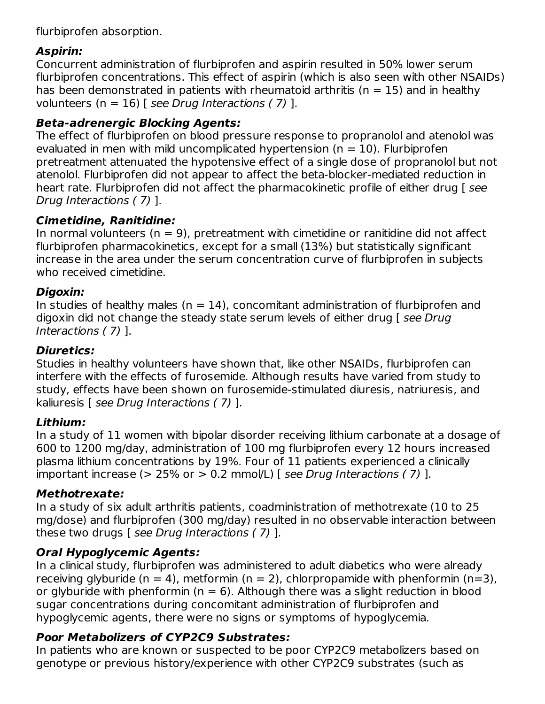flurbiprofen absorption.

# **Aspirin:**

Concurrent administration of flurbiprofen and aspirin resulted in 50% lower serum flurbiprofen concentrations. This effect of aspirin (which is also seen with other NSAIDs) has been demonstrated in patients with rheumatoid arthritis ( $n = 15$ ) and in healthy volunteers ( $n = 16$ ) [ see Drug Interactions (7) ].

# **Beta-adrenergic Blocking Agents:**

The effect of flurbiprofen on blood pressure response to propranolol and atenolol was evaluated in men with mild uncomplicated hypertension ( $n = 10$ ). Flurbiprofen pretreatment attenuated the hypotensive effect of a single dose of propranolol but not atenolol. Flurbiprofen did not appear to affect the beta-blocker-mediated reduction in heart rate. Flurbiprofen did not affect the pharmacokinetic profile of either drug [ see Drug Interactions ( 7) ].

# **Cimetidine, Ranitidine:**

In normal volunteers  $(n = 9)$ , pretreatment with cimetidine or ranitidine did not affect flurbiprofen pharmacokinetics, except for a small (13%) but statistically significant increase in the area under the serum concentration curve of flurbiprofen in subjects who received cimetidine.

# **Digoxin:**

In studies of healthy males ( $n = 14$ ), concomitant administration of flurbiprofen and digoxin did not change the steady state serum levels of either drug [ see Drug Interactions ( 7) ].

## **Diuretics:**

Studies in healthy volunteers have shown that, like other NSAIDs, flurbiprofen can interfere with the effects of furosemide. Although results have varied from study to study, effects have been shown on furosemide-stimulated diuresis, natriuresis, and kaliuresis [ see Drug Interactions ( 7) ].

# **Lithium:**

In a study of 11 women with bipolar disorder receiving lithium carbonate at a dosage of 600 to 1200 mg/day, administration of 100 mg flurbiprofen every 12 hours increased plasma lithium concentrations by 19%. Four of 11 patients experienced a clinically important increase ( $> 25\%$  or  $> 0.2$  mmol/L) [see Drug Interactions (7)].

## **Methotrexate:**

In a study of six adult arthritis patients, coadministration of methotrexate (10 to 25 mg/dose) and flurbiprofen (300 mg/day) resulted in no observable interaction between these two drugs [ see Drug Interactions ( 7) ].

# **Oral Hypoglycemic Agents:**

In a clinical study, flurbiprofen was administered to adult diabetics who were already receiving glyburide ( $n = 4$ ), metformin ( $n = 2$ ), chlorpropamide with phenformin ( $n=3$ ), or glyburide with phenformin ( $n = 6$ ). Although there was a slight reduction in blood sugar concentrations during concomitant administration of flurbiprofen and hypoglycemic agents, there were no signs or symptoms of hypoglycemia.

# **Poor Metabolizers of CYP2C9 Substrates:**

In patients who are known or suspected to be poor CYP2C9 metabolizers based on genotype or previous history/experience with other CYP2C9 substrates (such as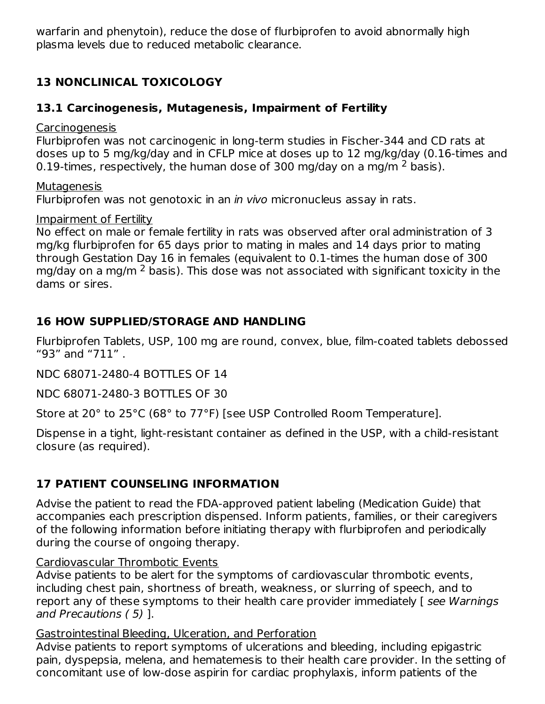warfarin and phenytoin), reduce the dose of flurbiprofen to avoid abnormally high plasma levels due to reduced metabolic clearance.

# **13 NONCLINICAL TOXICOLOGY**

## **13.1 Carcinogenesis, Mutagenesis, Impairment of Fertility**

Carcinogenesis

Flurbiprofen was not carcinogenic in long-term studies in Fischer-344 and CD rats at doses up to 5 mg/kg/day and in CFLP mice at doses up to 12 mg/kg/day (0.16-times and 0.19-times, respectively, the human dose of 300 mg/day on a mg/m  $^2$  basis).

### **Mutagenesis**

Flurbiprofen was not genotoxic in an in vivo micronucleus assay in rats.

### Impairment of Fertility

No effect on male or female fertility in rats was observed after oral administration of 3 mg/kg flurbiprofen for 65 days prior to mating in males and 14 days prior to mating through Gestation Day 16 in females (equivalent to 0.1-times the human dose of 300 mg/day on a mg/m  $^2$  basis). This dose was not associated with significant toxicity in the dams or sires.

## **16 HOW SUPPLIED/STORAGE AND HANDLING**

Flurbiprofen Tablets, USP, 100 mg are round, convex, blue, film-coated tablets debossed "93" and "711" .

NDC 68071-2480-4 BOTTLES OF 14

NDC 68071-2480-3 BOTTLES OF 30

Store at 20° to 25°C (68° to 77°F) [see USP Controlled Room Temperature].

Dispense in a tight, light-resistant container as defined in the USP, with a child-resistant closure (as required).

## **17 PATIENT COUNSELING INFORMATION**

Advise the patient to read the FDA-approved patient labeling (Medication Guide) that accompanies each prescription dispensed. Inform patients, families, or their caregivers of the following information before initiating therapy with flurbiprofen and periodically during the course of ongoing therapy.

### Cardiovascular Thrombotic Events

Advise patients to be alert for the symptoms of cardiovascular thrombotic events, including chest pain, shortness of breath, weakness, or slurring of speech, and to report any of these symptoms to their health care provider immediately [see Warnings] and Precautions ( 5) ].

### Gastrointestinal Bleeding, Ulceration, and Perforation

Advise patients to report symptoms of ulcerations and bleeding, including epigastric pain, dyspepsia, melena, and hematemesis to their health care provider. In the setting of concomitant use of low-dose aspirin for cardiac prophylaxis, inform patients of the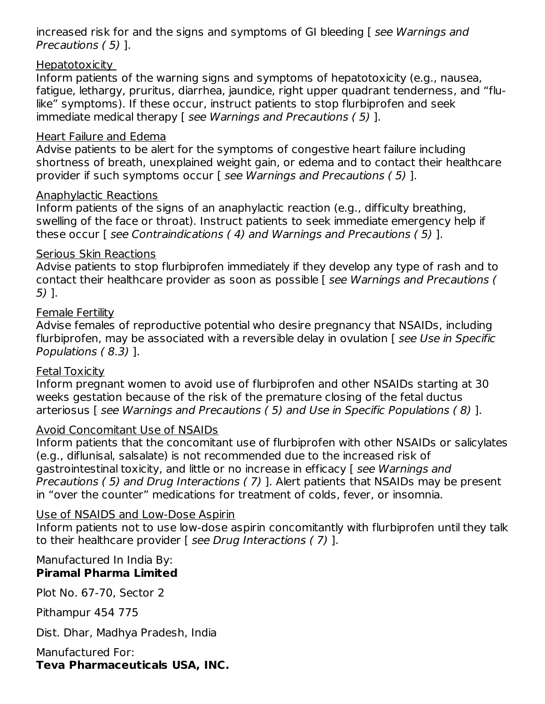increased risk for and the signs and symptoms of GI bleeding [ see Warnings and Precautions ( 5) ].

### Hepatotoxicity

Inform patients of the warning signs and symptoms of hepatotoxicity (e.g., nausea, fatigue, lethargy, pruritus, diarrhea, jaundice, right upper quadrant tenderness, and "flulike" symptoms). If these occur, instruct patients to stop flurbiprofen and seek immediate medical therapy [ see Warnings and Precautions ( 5) ].

### Heart Failure and Edema

Advise patients to be alert for the symptoms of congestive heart failure including shortness of breath, unexplained weight gain, or edema and to contact their healthcare provider if such symptoms occur [ see Warnings and Precautions ( 5) ].

### Anaphylactic Reactions

Inform patients of the signs of an anaphylactic reaction (e.g., difficulty breathing, swelling of the face or throat). Instruct patients to seek immediate emergency help if these occur [ see Contraindications ( 4) and Warnings and Precautions ( 5) ].

### Serious Skin Reactions

Advise patients to stop flurbiprofen immediately if they develop any type of rash and to contact their healthcare provider as soon as possible [ see Warnings and Precautions ( 5) ].

### Female Fertility

Advise females of reproductive potential who desire pregnancy that NSAIDs, including flurbiprofen, may be associated with a reversible delay in ovulation [see Use in Specific Populations ( 8.3) ].

### Fetal Toxicity

Inform pregnant women to avoid use of flurbiprofen and other NSAIDs starting at 30 weeks gestation because of the risk of the premature closing of the fetal ductus arteriosus [ see Warnings and Precautions ( 5) and Use in Specific Populations ( 8) ].

### Avoid Concomitant Use of NSAIDs

Inform patients that the concomitant use of flurbiprofen with other NSAIDs or salicylates (e.g., diflunisal, salsalate) is not recommended due to the increased risk of gastrointestinal toxicity, and little or no increase in efficacy [ see Warnings and Precautions ( 5) and Drug Interactions ( 7) ]. Alert patients that NSAIDs may be present in "over the counter" medications for treatment of colds, fever, or insomnia.

### Use of NSAIDS and Low-Dose Aspirin

Inform patients not to use low-dose aspirin concomitantly with flurbiprofen until they talk to their healthcare provider [ see Drug Interactions (7) ].

Manufactured In India By:

## **Piramal Pharma Limited**

Plot No. 67-70, Sector 2

Pithampur 454 775

Dist. Dhar, Madhya Pradesh, India

Manufactured For: **Teva Pharmaceuticals USA, INC.**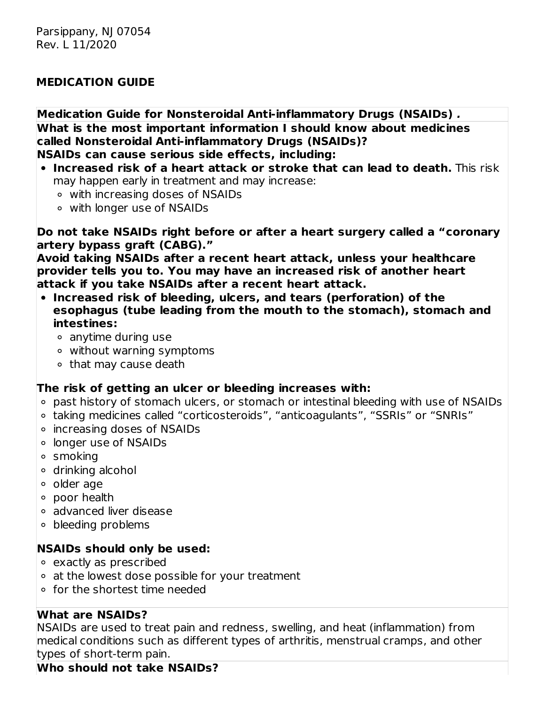## **MEDICATION GUIDE**

**Medication Guide for Nonsteroidal Anti-inflammatory Drugs (NSAIDs) .**

**What is the most important information I should know about medicines called Nonsteroidal Anti-inflammatory Drugs (NSAIDs)? NSAIDs can cause serious side effects, including:**

- **Increased risk of a heart attack or stroke that can lead to death.** This risk may happen early in treatment and may increase:
	- with increasing doses of NSAIDs
	- with longer use of NSAIDs

**Do not take NSAIDs right before or after a heart surgery called a "coronary artery bypass graft (CABG)."**

**Avoid taking NSAIDs after a recent heart attack, unless your healthcare provider tells you to. You may have an increased risk of another heart attack if you take NSAIDs after a recent heart attack.**

- **Increased risk of bleeding, ulcers, and tears (perforation) of the esophagus (tube leading from the mouth to the stomach), stomach and intestines:**
	- anytime during use
	- without warning symptoms
	- that may cause death

### **The risk of getting an ulcer or bleeding increases with:**

- past history of stomach ulcers, or stomach or intestinal bleeding with use of NSAIDs
- taking medicines called "corticosteroids", "anticoagulants", "SSRIs" or "SNRIs"
- increasing doses of NSAIDs
- longer use of NSAIDs
- smoking
- drinking alcohol
- older age
- poor health
- advanced liver disease
- bleeding problems

### **NSAIDs should only be used:**

- exactly as prescribed
- at the lowest dose possible for your treatment
- for the shortest time needed

### **What are NSAIDs?**

NSAIDs are used to treat pain and redness, swelling, and heat (inflammation) from medical conditions such as different types of arthritis, menstrual cramps, and other types of short-term pain.

### **Who should not take NSAIDs?**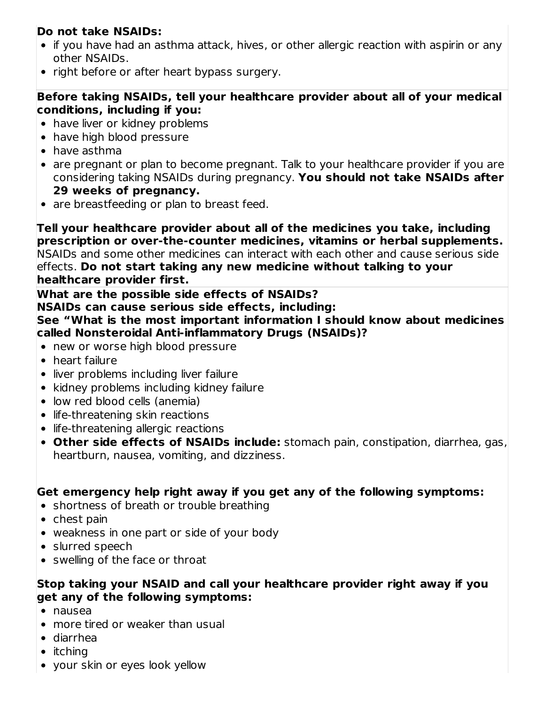# **Do not take NSAIDs:**

- if you have had an asthma attack, hives, or other allergic reaction with aspirin or any other NSAIDs.
- right before or after heart bypass surgery.

## **Before taking NSAIDs, tell your healthcare provider about all of your medical conditions, including if you:**

- have liver or kidney problems
- have high blood pressure
- have asthma
- are pregnant or plan to become pregnant. Talk to your healthcare provider if you are considering taking NSAIDs during pregnancy. **You should not take NSAIDs after 29 weeks of pregnancy.**
- are breastfeeding or plan to breast feed.

**Tell your healthcare provider about all of the medicines you take, including prescription or over-the-counter medicines, vitamins or herbal supplements.** NSAIDs and some other medicines can interact with each other and cause serious side effects. **Do not start taking any new medicine without talking to your healthcare provider first.**

## **What are the possible side effects of NSAIDs?**

**NSAIDs can cause serious side effects, including:**

**See "What is the most important information I should know about medicines called Nonsteroidal Anti-inflammatory Drugs (NSAIDs)?**

- new or worse high blood pressure
- heart failure
- liver problems including liver failure
- kidney problems including kidney failure
- low red blood cells (anemia)
- life-threatening skin reactions
- life-threatening allergic reactions
- **Other side effects of NSAIDs include:** stomach pain, constipation, diarrhea, gas, heartburn, nausea, vomiting, and dizziness.

## **Get emergency help right away if you get any of the following symptoms:**

- shortness of breath or trouble breathing
- $\bullet$  chest pain
- weakness in one part or side of your body
- slurred speech
- swelling of the face or throat

### **Stop taking your NSAID and call your healthcare provider right away if you get any of the following symptoms:**

- nausea
- more tired or weaker than usual
- diarrhea
- $\bullet$  itching
- your skin or eyes look yellow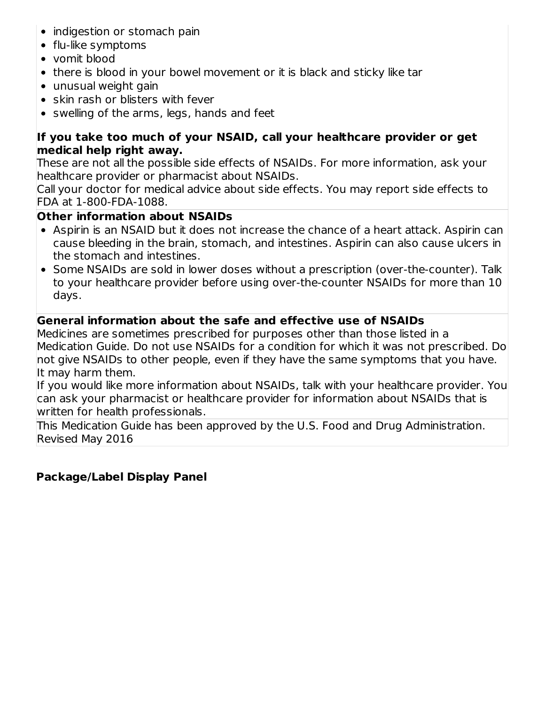- indigestion or stomach pain
- flu-like symptoms
- vomit blood
- there is blood in your bowel movement or it is black and sticky like tar
- unusual weight gain
- skin rash or blisters with fever
- swelling of the arms, legs, hands and feet

### **If you take too much of your NSAID, call your healthcare provider or get medical help right away.**

These are not all the possible side effects of NSAIDs. For more information, ask your healthcare provider or pharmacist about NSAIDs.

Call your doctor for medical advice about side effects. You may report side effects to FDA at 1-800-FDA-1088.

# **Other information about NSAIDs**

- Aspirin is an NSAID but it does not increase the chance of a heart attack. Aspirin can cause bleeding in the brain, stomach, and intestines. Aspirin can also cause ulcers in the stomach and intestines.
- Some NSAIDs are sold in lower doses without a prescription (over-the-counter). Talk to your healthcare provider before using over-the-counter NSAIDs for more than 10 days.

# **General information about the safe and effective use of NSAIDs**

Medicines are sometimes prescribed for purposes other than those listed in a Medication Guide. Do not use NSAIDs for a condition for which it was not prescribed. Do not give NSAIDs to other people, even if they have the same symptoms that you have. It may harm them.

If you would like more information about NSAIDs, talk with your healthcare provider. You can ask your pharmacist or healthcare provider for information about NSAIDs that is written for health professionals.

This Medication Guide has been approved by the U.S. Food and Drug Administration. Revised May 2016

# **Package/Label Display Panel**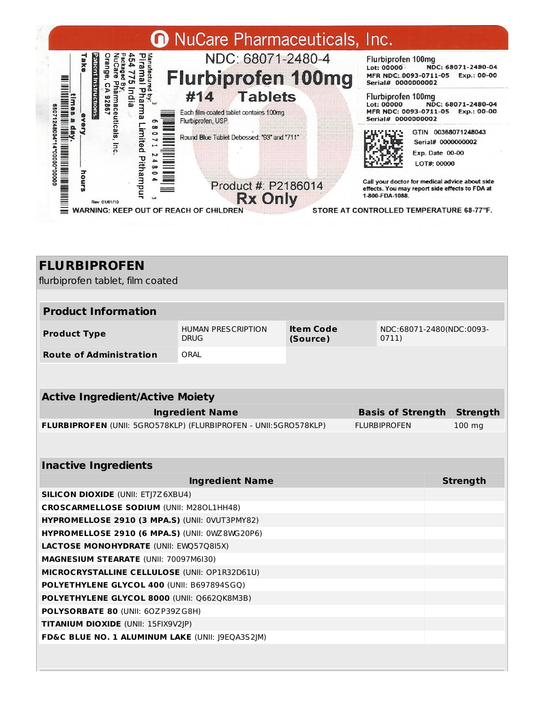

| <b>FLURBIPROFEN</b><br>flurbiprofen tablet, film coated          |                                          |                              |  |                                   |                 |  |
|------------------------------------------------------------------|------------------------------------------|------------------------------|--|-----------------------------------|-----------------|--|
|                                                                  |                                          |                              |  |                                   |                 |  |
| <b>Product Information</b>                                       |                                          |                              |  |                                   |                 |  |
| <b>Product Type</b>                                              | <b>HUMAN PRESCRIPTION</b><br><b>DRUG</b> | <b>Item Code</b><br>(Source) |  | NDC:68071-2480(NDC:0093-<br>0711) |                 |  |
| <b>Route of Administration</b>                                   | ORAL                                     |                              |  |                                   |                 |  |
|                                                                  |                                          |                              |  |                                   |                 |  |
| <b>Active Ingredient/Active Moiety</b>                           |                                          |                              |  |                                   |                 |  |
|                                                                  | <b>Ingredient Name</b>                   |                              |  | <b>Basis of Strength</b>          | <b>Strength</b> |  |
| FLURBIPROFEN (UNII: 5GRO578KLP) (FLURBIPROFEN - UNII:5GRO578KLP) |                                          |                              |  | <b>FLURBIPROFEN</b>               | 100 mg          |  |
|                                                                  |                                          |                              |  |                                   |                 |  |
| <b>Inactive Ingredients</b>                                      |                                          |                              |  |                                   |                 |  |
|                                                                  | <b>Ingredient Name</b>                   |                              |  |                                   | <b>Strength</b> |  |
| <b>SILICON DIOXIDE (UNII: ETJ7Z6XBU4)</b>                        |                                          |                              |  |                                   |                 |  |
| <b>CROSCARMELLOSE SODIUM (UNII: M280L1HH48)</b>                  |                                          |                              |  |                                   |                 |  |
| HYPROMELLOSE 2910 (3 MPA.S) (UNII: 0VUT3PMY82)                   |                                          |                              |  |                                   |                 |  |
| HYPROMELLOSE 2910 (6 MPA.S) (UNII: 0WZ8WG20P6)                   |                                          |                              |  |                                   |                 |  |
| LACTOSE MONOHYDRATE (UNII: EWQ57Q8I5X)                           |                                          |                              |  |                                   |                 |  |
| MAGNESIUM STEARATE (UNII: 70097M6I30)                            |                                          |                              |  |                                   |                 |  |
| MICROCRYSTALLINE CELLULOSE (UNII: OP1R32D61U)                    |                                          |                              |  |                                   |                 |  |
| POLYETHYLENE GLYCOL 400 (UNII: B697894SGQ)                       |                                          |                              |  |                                   |                 |  |
| POLYETHYLENE GLYCOL 8000 (UNII: Q662QK8M3B)                      |                                          |                              |  |                                   |                 |  |
| POLYSORBATE 80 (UNII: 60ZP39ZG8H)                                |                                          |                              |  |                                   |                 |  |
| TITANIUM DIOXIDE (UNII: 15FIX9V2JP)                              |                                          |                              |  |                                   |                 |  |
| FD&C BLUE NO. 1 ALUMINUM LAKE (UNII: J9EQA3S2JM)                 |                                          |                              |  |                                   |                 |  |
|                                                                  |                                          |                              |  |                                   |                 |  |